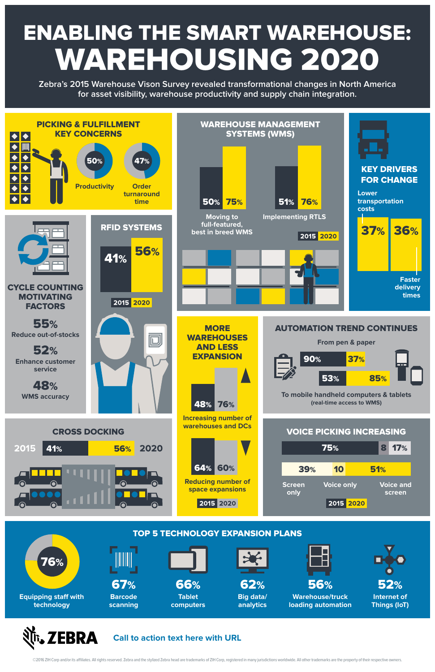## ENABLING THE SMART WAREHOUSE: WAREHOUSING 2020

## EBRA **Call to action text here with URL**

©2016 ZIH Corp and/or its affiliates. All rights reserved. Zebra and the stylized Zebra head are trademarks of ZIH Corp, registered in many jurisdictions worldwide. All other trademarks are the property of their respective



**Zebra's 2015 Warehouse Vison Survey revealed transformational changes in North America for asset visibility, warehouse productivity and supply chain integration.**

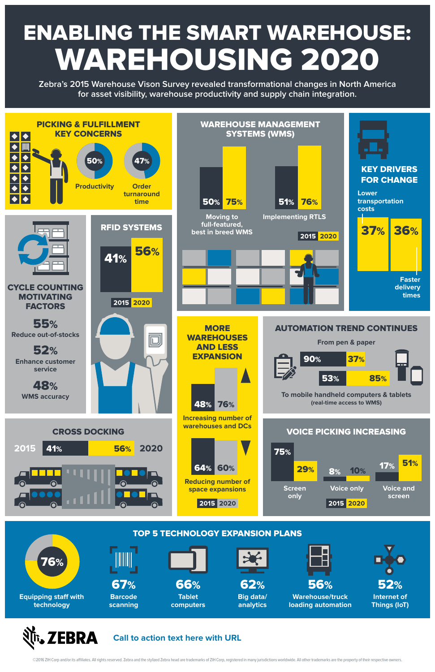## ENABLING THE SMART WAREHOUSE: WAREHOUSING 2020



**Zebra's 2015 Warehouse Vison Survey revealed transformational changes in North America for asset visibility, warehouse productivity and supply chain integration.**





©2016 ZIH Corp and/or its affiliates. All rights reserved. Zebra and the stylized Zebra head are trademarks of ZIH Corp, registered in many jurisdictions worldwide. All other trademarks are the property of their respective